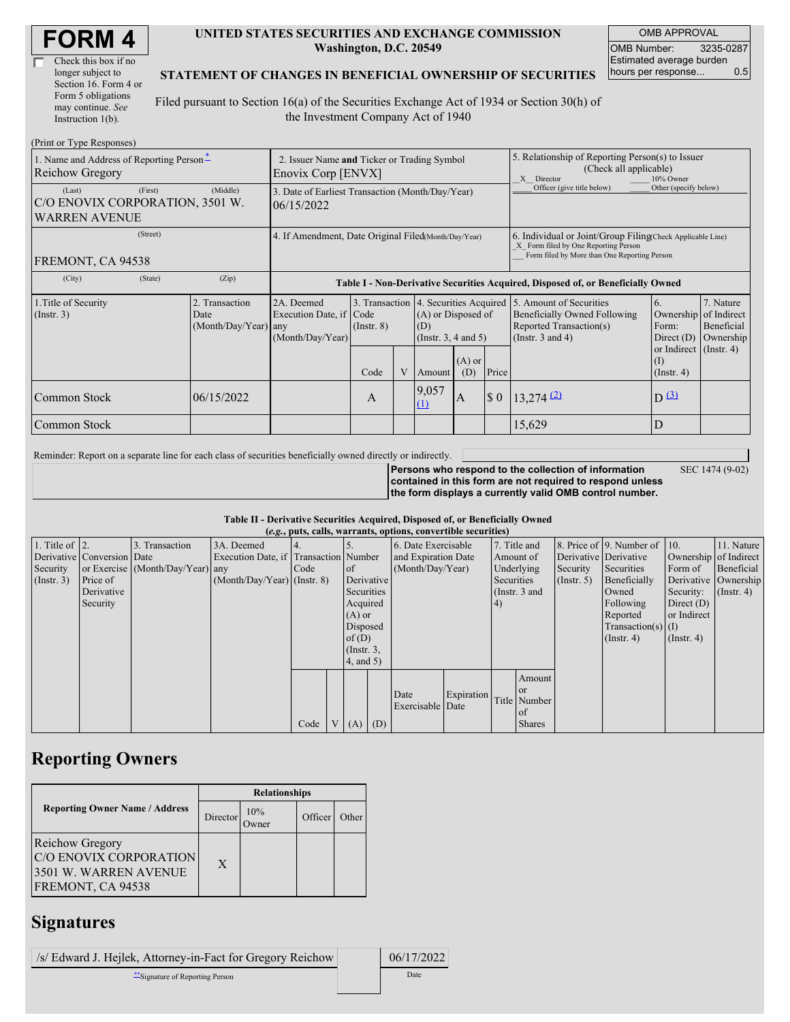| <b>FORM4</b> |
|--------------|
|--------------|

| Check this box if no  |
|-----------------------|
| longer subject to     |
| Section 16. Form 4 or |
| Form 5 obligations    |
| may continue. See     |
| Instruction $1(b)$ .  |

 $(D_{\text{rint}} \text{ or } T_{\text{VMA}} D$ 

#### **UNITED STATES SECURITIES AND EXCHANGE COMMISSION Washington, D.C. 20549**

OMB APPROVAL OMB Number: 3235-0287 Estimated average burden hours per response... 0.5

### **STATEMENT OF CHANGES IN BENEFICIAL OWNERSHIP OF SECURITIES**

Filed pursuant to Section 16(a) of the Securities Exchange Act of 1934 or Section 30(h) of the Investment Company Act of 1940

| $(1 \text{ min of 1 ypc }$ <i>NGSPOIISGS</i><br>1. Name and Address of Reporting Person-<br><b>Reichow Gregory</b> | 2. Issuer Name and Ticker or Trading Symbol<br>Enovix Corp [ENVX] |                                                                                  |                                   |  |                                                                                 | 5. Relationship of Reporting Person(s) to Issuer<br>(Check all applicable)<br>X Director<br>10% Owner                                              |                             |                                                                                                             |                                                      |                                      |
|--------------------------------------------------------------------------------------------------------------------|-------------------------------------------------------------------|----------------------------------------------------------------------------------|-----------------------------------|--|---------------------------------------------------------------------------------|----------------------------------------------------------------------------------------------------------------------------------------------------|-----------------------------|-------------------------------------------------------------------------------------------------------------|------------------------------------------------------|--------------------------------------|
| (First)<br>(Last)<br>C/O ENOVIX CORPORATION, 3501 W.<br><b>WARREN AVENUE</b>                                       | 3. Date of Earliest Transaction (Month/Day/Year)<br>06/15/2022    |                                                                                  |                                   |  |                                                                                 | Officer (give title below)                                                                                                                         | Other (specify below)       |                                                                                                             |                                                      |                                      |
| (Street)<br>FREMONT, CA 94538                                                                                      | 4. If Amendment, Date Original Filed(Month/Day/Year)              |                                                                                  |                                   |  |                                                                                 | 6. Individual or Joint/Group Filing Check Applicable Line)<br>X Form filed by One Reporting Person<br>Form filed by More than One Reporting Person |                             |                                                                                                             |                                                      |                                      |
| (State)<br>(City)                                                                                                  | (Zip)                                                             | Table I - Non-Derivative Securities Acquired, Disposed of, or Beneficially Owned |                                   |  |                                                                                 |                                                                                                                                                    |                             |                                                                                                             |                                                      |                                      |
| 1. Title of Security<br>(Insert. 3)                                                                                | 2. Transaction<br>Date<br>(Month/Day/Year) any                    | 2A. Deemed<br>Execution Date, if Code<br>(Month/Day/Year)                        | 3. Transaction<br>$($ Instr. $8)$ |  | 4. Securities Acquired<br>(A) or Disposed of<br>(D)<br>(Instr. $3, 4$ and $5$ ) |                                                                                                                                                    |                             | 5. Amount of Securities<br>Beneficially Owned Following<br>Reported Transaction(s)<br>(Instr. $3$ and $4$ ) | 6.<br>Ownership of Indirect<br>Form:<br>Direct $(D)$ | 7. Nature<br>Beneficial<br>Ownership |
|                                                                                                                    |                                                                   |                                                                                  | Code                              |  | Amount                                                                          | $(A)$ or<br>(D)                                                                                                                                    | Price                       |                                                                                                             | or Indirect (Instr. 4)<br>$($ Instr. 4 $)$           |                                      |
| Common Stock                                                                                                       | 06/15/2022                                                        |                                                                                  | A                                 |  | 9,057<br>(1)                                                                    | $\mathbf{A}$                                                                                                                                       | $\boldsymbol{\mathsf{S}}$ 0 | $13,274$ <sup>(2)</sup>                                                                                     | $D^{(3)}$                                            |                                      |
| Common Stock                                                                                                       |                                                                   |                                                                                  |                                   |  |                                                                                 |                                                                                                                                                    |                             | 15,629                                                                                                      | D                                                    |                                      |

Reminder: Report on a separate line for each class of securities beneficially owned directly or indirectly.

**Persons who respond to the collection of information contained in this form are not required to respond unless**

SEC 1474 (9-02)

**the form displays a currently valid OMB control number.**

#### **Table II - Derivative Securities Acquired, Disposed of, or Beneficially Owned**

| (e.g., puts, calls, warrants, options, convertible securities) |                            |                                  |                                       |      |  |                 |                     |                     |            |            |               |                       |                              |                       |                      |
|----------------------------------------------------------------|----------------------------|----------------------------------|---------------------------------------|------|--|-----------------|---------------------|---------------------|------------|------------|---------------|-----------------------|------------------------------|-----------------------|----------------------|
| 1. Title of $\vert$ 2.                                         |                            | 3. Transaction                   | 3A. Deemed                            |      |  |                 |                     | 6. Date Exercisable |            |            | 7. Title and  |                       | 8. Price of 9. Number of 10. |                       | 11. Nature           |
|                                                                | Derivative Conversion Date |                                  | Execution Date, if Transaction Number |      |  |                 | and Expiration Date |                     | Amount of  |            |               | Derivative Derivative |                              | Ownership of Indirect |                      |
| Security                                                       |                            | or Exercise (Month/Day/Year) any |                                       | Code |  | of              |                     | (Month/Day/Year)    |            |            | Underlying    | Security              | Securities                   | Form of               | Beneficial           |
| (Insert. 3)                                                    | Price of                   |                                  | $(Month/Day/Year)$ (Instr. 8)         |      |  |                 | Derivative          |                     |            | Securities |               | $($ Instr. 5 $)$      | Beneficially                 |                       | Derivative Ownership |
|                                                                | Derivative                 |                                  |                                       |      |  | Securities      |                     |                     |            |            | (Instr. 3 and |                       | Owned                        | Security:             | $($ Instr. 4 $)$     |
|                                                                | Security                   |                                  |                                       |      |  | Acquired        |                     |                     |            | (4)        |               |                       | Following                    | Direct $(D)$          |                      |
|                                                                |                            |                                  |                                       |      |  | $(A)$ or        |                     |                     |            |            |               |                       | Reported                     | or Indirect           |                      |
|                                                                |                            |                                  |                                       |      |  | Disposed        |                     |                     |            |            |               |                       | $Transaction(s)$ (I)         |                       |                      |
|                                                                |                            |                                  |                                       |      |  | of $(D)$        |                     |                     |            |            |               |                       | $($ Instr. 4)                | $($ Instr. 4 $)$      |                      |
|                                                                |                            |                                  |                                       |      |  | $($ Instr. $3,$ |                     |                     |            |            |               |                       |                              |                       |                      |
|                                                                |                            |                                  |                                       |      |  | $4$ , and $5$ ) |                     |                     |            |            |               |                       |                              |                       |                      |
|                                                                |                            |                                  |                                       |      |  |                 |                     |                     |            |            | Amount        |                       |                              |                       |                      |
|                                                                |                            |                                  |                                       |      |  |                 |                     | Date                | Expiration |            | <b>or</b>     |                       |                              |                       |                      |
|                                                                |                            |                                  |                                       |      |  |                 |                     | Exercisable Date    |            |            | Title Number  |                       |                              |                       |                      |
|                                                                |                            |                                  |                                       |      |  |                 |                     |                     |            |            | <b>of</b>     |                       |                              |                       |                      |
|                                                                |                            |                                  |                                       | Code |  | V   (A)   (D)   |                     |                     |            |            | <b>Shares</b> |                       |                              |                       |                      |

## **Reporting Owners**

|                                                                                                       | <b>Relationships</b> |              |         |       |  |  |  |  |
|-------------------------------------------------------------------------------------------------------|----------------------|--------------|---------|-------|--|--|--|--|
| <b>Reporting Owner Name / Address</b>                                                                 | Director             | 10%<br>Owner | Officer | Other |  |  |  |  |
| <b>Reichow Gregory</b><br><b>C/O ENOVIX CORPORATION</b><br>3501 W. WARREN AVENUE<br>FREMONT, CA 94538 | X                    |              |         |       |  |  |  |  |

### **Signatures**

/s/ Edward J. Hejlek, Attorney-in-Fact for Gregory Reichow 06/17/2022 \*\*Signature of Reporting Person Date